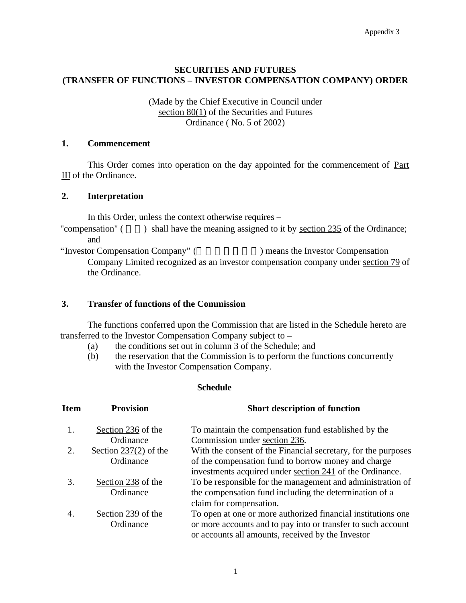## **SECURITIES AND FUTURES (TRANSFER OF FUNCTIONS – INVESTOR COMPENSATION COMPANY) ORDER**

#### (Made by the Chief Executive in Council under section 80(1) of the Securities and Futures Ordinance ( No. 5 of 2002)

### **1. Commencement**

This Order comes into operation on the day appointed for the commencement of Part III of the Ordinance.

#### **2. Interpretation**

In this Order, unless the context otherwise requires –

"compensation"  $($ ) shall have the meaning assigned to it by section 235 of the Ordinance; and

"Investor Compensation Company" () means the Investor Compensation Company Limited recognized as an investor compensation company under section 79 of the Ordinance.

#### **3. Transfer of functions of the Commission**

The functions conferred upon the Commission that are listed in the Schedule hereto are transferred to the Investor Compensation Company subject to –

- (a) the conditions set out in column 3 of the Schedule; and
- (b) the reservation that the Commission is to perform the functions concurrently with the Investor Compensation Company.

| Item | <b>Provision</b>        | <b>Short description of function</b>                          |
|------|-------------------------|---------------------------------------------------------------|
| 1.   | Section 236 of the      | To maintain the compensation fund established by the          |
|      | Ordinance               | Commission under section 236.                                 |
|      | Section $237(2)$ of the | With the consent of the Financial secretary, for the purposes |
|      | Ordinance               | of the compensation fund to borrow money and charge           |
|      |                         | investments acquired under section 241 of the Ordinance.      |
| 3.   | Section 238 of the      | To be responsible for the management and administration of    |
|      | Ordinance               | the compensation fund including the determination of a        |
|      |                         | claim for compensation.                                       |
| 4.   | Section 239 of the      | To open at one or more authorized financial institutions one  |
|      | Ordinance               | or more accounts and to pay into or transfer to such account  |
|      |                         | or accounts all amounts, received by the Investor             |

# **Schedule**